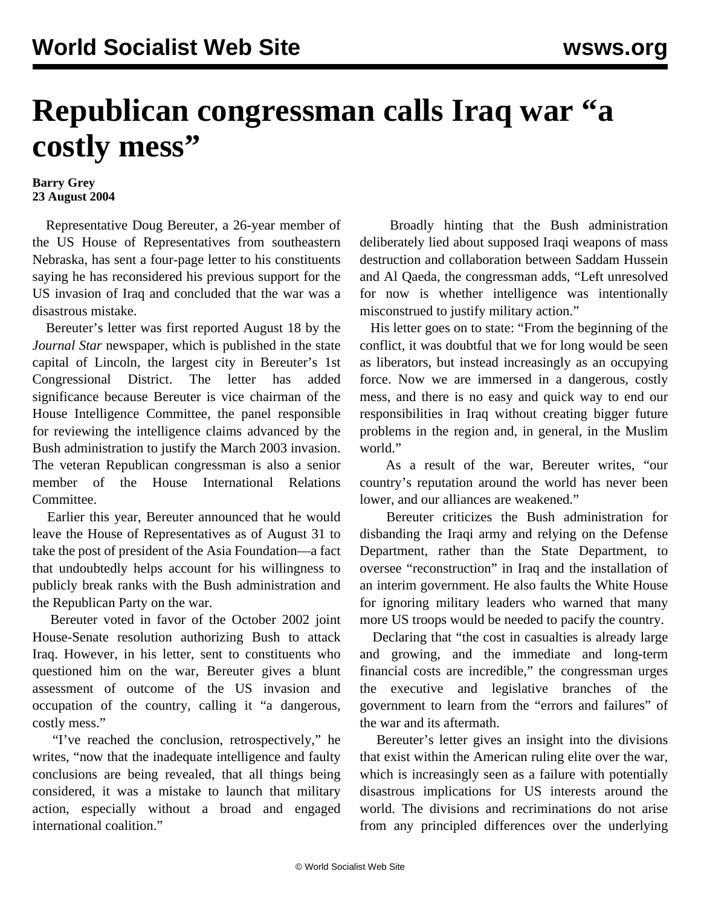## **Republican congressman calls Iraq war "a costly mess"**

## **Barry Grey 23 August 2004**

 Representative Doug Bereuter, a 26-year member of the US House of Representatives from southeastern Nebraska, has sent a four-page letter to his constituents saying he has reconsidered his previous support for the US invasion of Iraq and concluded that the war was a disastrous mistake.

 Bereuter's letter was first reported August 18 by the *Journal Star* newspaper, which is published in the state capital of Lincoln, the largest city in Bereuter's 1st Congressional District. The letter has added significance because Bereuter is vice chairman of the House Intelligence Committee, the panel responsible for reviewing the intelligence claims advanced by the Bush administration to justify the March 2003 invasion. The veteran Republican congressman is also a senior member of the House International Relations Committee.

 Earlier this year, Bereuter announced that he would leave the House of Representatives as of August 31 to take the post of president of the Asia Foundation—a fact that undoubtedly helps account for his willingness to publicly break ranks with the Bush administration and the Republican Party on the war.

 Bereuter voted in favor of the October 2002 joint House-Senate resolution authorizing Bush to attack Iraq. However, in his letter, sent to constituents who questioned him on the war, Bereuter gives a blunt assessment of outcome of the US invasion and occupation of the country, calling it "a dangerous, costly mess."

 "I've reached the conclusion, retrospectively," he writes, "now that the inadequate intelligence and faulty conclusions are being revealed, that all things being considered, it was a mistake to launch that military action, especially without a broad and engaged international coalition."

 Broadly hinting that the Bush administration deliberately lied about supposed Iraqi weapons of mass destruction and collaboration between Saddam Hussein and Al Qaeda, the congressman adds, "Left unresolved for now is whether intelligence was intentionally misconstrued to justify military action."

 His letter goes on to state: "From the beginning of the conflict, it was doubtful that we for long would be seen as liberators, but instead increasingly as an occupying force. Now we are immersed in a dangerous, costly mess, and there is no easy and quick way to end our responsibilities in Iraq without creating bigger future problems in the region and, in general, in the Muslim world."

 As a result of the war, Bereuter writes, "our country's reputation around the world has never been lower, and our alliances are weakened."

 Bereuter criticizes the Bush administration for disbanding the Iraqi army and relying on the Defense Department, rather than the State Department, to oversee "reconstruction" in Iraq and the installation of an interim government. He also faults the White House for ignoring military leaders who warned that many more US troops would be needed to pacify the country.

 Declaring that "the cost in casualties is already large and growing, and the immediate and long-term financial costs are incredible," the congressman urges the executive and legislative branches of the government to learn from the "errors and failures" of the war and its aftermath.

 Bereuter's letter gives an insight into the divisions that exist within the American ruling elite over the war, which is increasingly seen as a failure with potentially disastrous implications for US interests around the world. The divisions and recriminations do not arise from any principled differences over the underlying